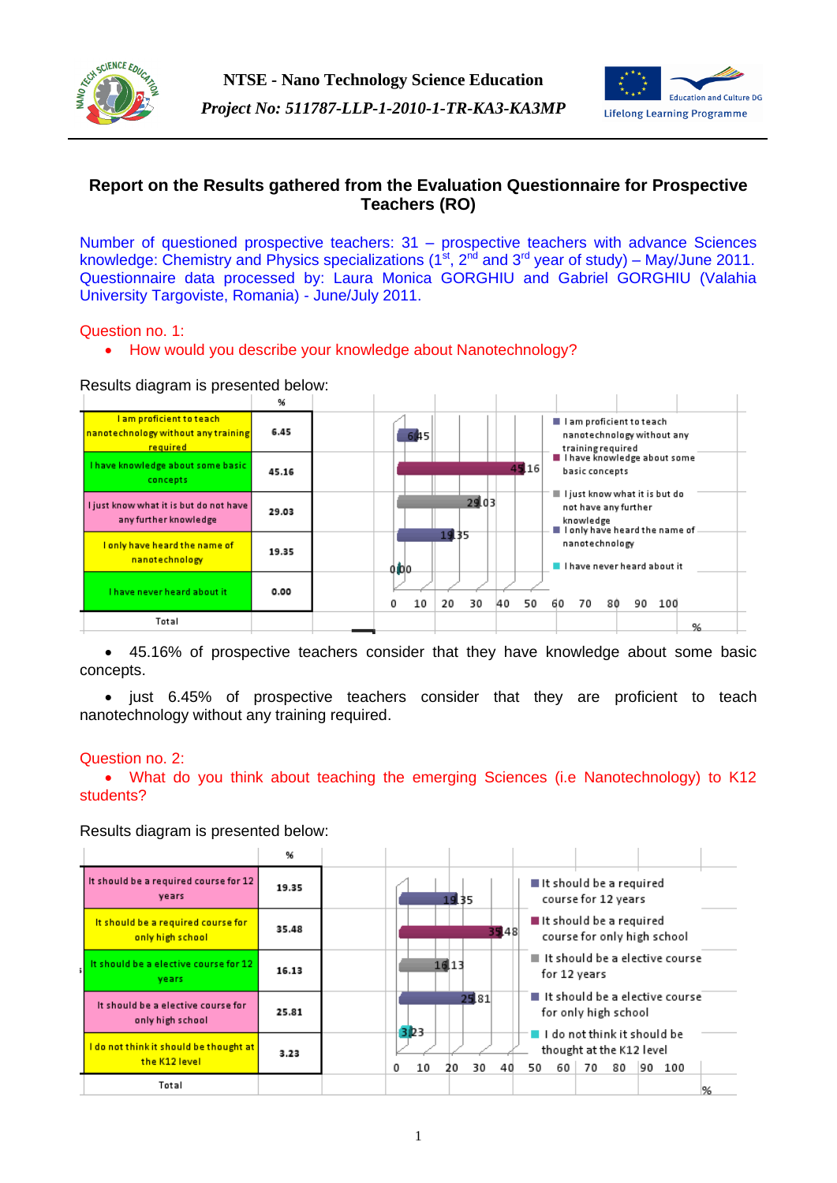



# **Report on the Results gathered from the Evaluation Questionnaire for Prospective Teachers (RO)**

Number of questioned prospective teachers: 31 – prospective teachers with advance Sciences knowledge: Chemistry and Physics specializations (1<sup>st</sup>, 2<sup>nd</sup> and 3<sup>rd</sup> year of study) – May/June 2011. Questionnaire data processed by: Laura Monica GORGHIU and Gabriel GORGHIU (Valahia University Targoviste, Romania) - June/July 2011.

### Question no. 1:

• How would you describe your knowledge about Nanotechnology?

### Results diagram is presented below:

| ivesults diagram is presented below.                                                |       |                                                                                                                             |
|-------------------------------------------------------------------------------------|-------|-----------------------------------------------------------------------------------------------------------------------------|
|                                                                                     | %     |                                                                                                                             |
| <u>l am proficient to teach-</u><br>nanotechnology without any training<br>required | 6.45  | I I am proficient to teach<br>645<br>nanotechnology without any<br>training required                                        |
| I have knowledge about some basic<br>concepts                                       | 45.16 | I I have knowledge about some<br>45.16<br>basic concepts                                                                    |
| I just know what it is but do not have<br>any further knowledge                     | 29.03 | $\blacksquare$ I just know what it is but do<br>29.03<br>not have any further<br>knowledge<br>I only have heard the name of |
| I only have heard the name of<br>nanotechnology                                     | 19.35 | 19.35<br>nanotechnology<br>I have never heard about it<br>0 loo                                                             |
| I have never heard about it                                                         | 0.00  | 10<br>20<br>30<br>40<br>70<br>100<br>50<br>60<br>80<br>90<br>0                                                              |
| Total                                                                               |       | %                                                                                                                           |

 45.16% of prospective teachers consider that they have knowledge about some basic concepts.

• just 6.45% of prospective teachers consider that they are proficient to teach nanotechnology without any training required.

### Question no. 2:

 What do you think about teaching the emerging Sciences (i.e Nanotechnology) to K12 students?

Results diagram is presented below:

|                                                                  | 96    |                                                                                                                                       |
|------------------------------------------------------------------|-------|---------------------------------------------------------------------------------------------------------------------------------------|
| It should be a required course for 12<br>years                   | 19.35 | It should be a required<br>course for 12 years<br>1935                                                                                |
| It should be a required course for<br>only high school           | 35.48 | ■ It should be a required<br>35.48<br>course for only high school                                                                     |
| It should be a elective course for 12<br>vears                   | 16.13 | $\blacksquare$ It should be a elective course<br>16.13<br>for 12 years                                                                |
| It should be a elective course for<br>only high school           | 25.81 | $\blacksquare$ It should be a elective course<br>25.81<br>for only high school<br>3 <b>D</b> 3                                        |
| <u>l do not think it should be thought at l</u><br>the K12 level | 3.23  | $\blacksquare$ I do not think it should be<br>thought at the K12 level<br>70<br>90 100<br>80<br>10<br>30<br>50<br>60<br>0<br>40<br>20 |
| Total                                                            |       | 96                                                                                                                                    |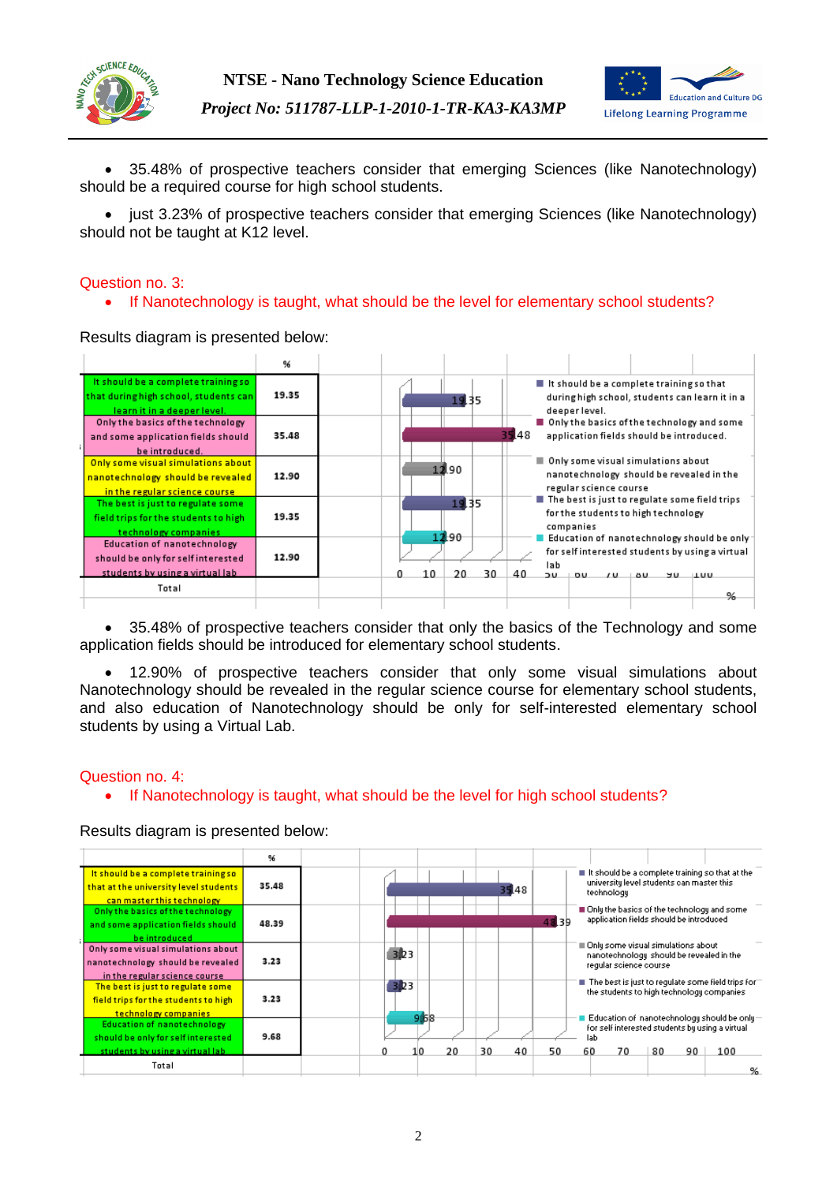



 35.48% of prospective teachers consider that emerging Sciences (like Nanotechnology) should be a required course for high school students.

• just 3.23% of prospective teachers consider that emerging Sciences (like Nanotechnology) should not be taught at K12 level.

### Question no. 3:

• If Nanotechnology is taught, what should be the level for elementary school students?

Results diagram is presented below:



• 35.48% of prospective teachers consider that only the basics of the Technology and some application fields should be introduced for elementary school students.

 12.90% of prospective teachers consider that only some visual simulations about Nanotechnology should be revealed in the regular science course for elementary school students, and also education of Nanotechnology should be only for self-interested elementary school students by using a Virtual Lab.

### Question no. 4:

• If Nanotechnology is taught, what should be the level for high school students?

Results diagram is presented below:

|                                                                                                             | 96    |   |           |    |          |       |           |                                                                                                                                             |    |    |  |
|-------------------------------------------------------------------------------------------------------------|-------|---|-----------|----|----------|-------|-----------|---------------------------------------------------------------------------------------------------------------------------------------------|----|----|--|
| It should be a complete training so<br>that at the university level students<br>can master this technology  | 35.48 |   |           |    | 35.48    |       |           | $\blacksquare$ It should be a complete training so that at the<br>university level students can master this<br>technology                   |    |    |  |
| Only the basics of the technology<br>and some application fields should<br>be introduced                    | 48.39 |   |           |    |          | 48.39 |           | Only the basics of the technology and some<br>application fields should be introduced                                                       |    |    |  |
| Only some visual simulations about<br>nanotechnology should be revealed<br>in the regular science course    | 3.23  |   | 323       |    |          |       |           | Only some visual simulations about<br>nanotechnology should be revealed in the<br>regular science course                                    |    |    |  |
| The best is just to regulate some<br>field trips for the students to high<br>technology companies           | 3.23  |   | 323       |    |          |       |           | $\blacksquare$ The best is just to regulate some field trips for $\blacksquare$<br>the students to high technology companies                |    |    |  |
| <b>Education of nanotechnology</b><br>should be only for self interested<br>students by using a virtual lab | 9.68  | n | 968<br>10 | 20 | 30<br>40 | 50    | lab<br>60 | Education of $% \left\vert \phi _{n}\right\vert$ nanotechnology should be only $-$<br>for self interested students by using a virtual<br>70 | 80 | 90 |  |
| Total                                                                                                       |       |   |           |    |          |       |           |                                                                                                                                             |    |    |  |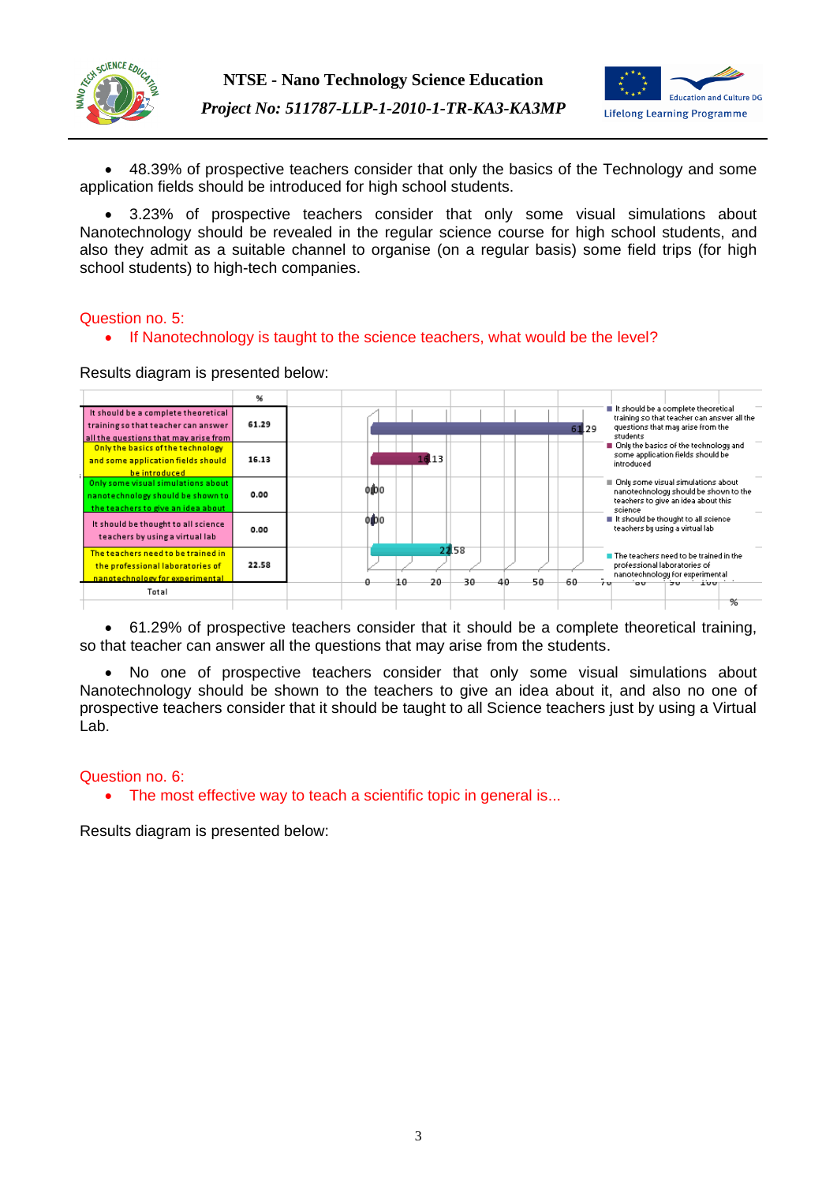



 48.39% of prospective teachers consider that only the basics of the Technology and some application fields should be introduced for high school students.

 3.23% of prospective teachers consider that only some visual simulations about Nanotechnology should be revealed in the regular science course for high school students, and also they admit as a suitable channel to organise (on a regular basis) some field trips (for high school students) to high-tech companies.

# Question no. 5:

• If Nanotechnology is taught to the science teachers, what would be the level?

Results diagram is presented below:



 61.29% of prospective teachers consider that it should be a complete theoretical training, so that teacher can answer all the questions that may arise from the students.

 No one of prospective teachers consider that only some visual simulations about Nanotechnology should be shown to the teachers to give an idea about it, and also no one of prospective teachers consider that it should be taught to all Science teachers just by using a Virtual Lab.

### Question no. 6:

• The most effective way to teach a scientific topic in general is...

Results diagram is presented below: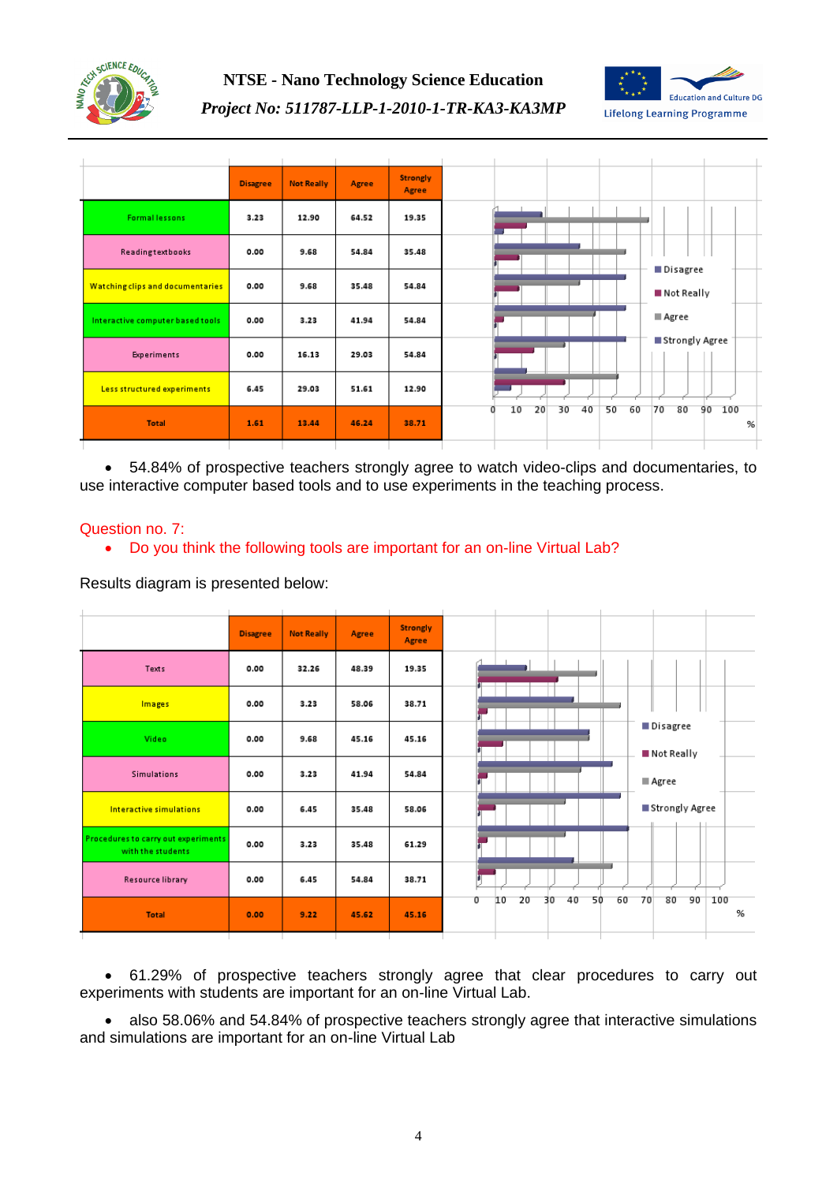



*Project No: 511787-LLP-1-2010-1-TR-KA3-KA3MP*



 54.84% of prospective teachers strongly agree to watch video-clips and documentaries, to use interactive computer based tools and to use experiments in the teaching process.

# Question no. 7:

Do you think the following tools are important for an on-line Virtual Lab?

Results diagram is presented below:

|                                                                 | <b>Disagree</b> | <b>Not Really</b> | Agree | <b>Strongly</b><br>Agree |
|-----------------------------------------------------------------|-----------------|-------------------|-------|--------------------------|
| Texts                                                           | 0.00            | 32.26             | 48.39 | 19.35                    |
| Images                                                          | 0.00            | 3.23              | 58.06 | 38.71                    |
| Video                                                           | 0.00            | 9.68              | 45.16 | 45.16                    |
| <b>Simulations</b>                                              | 0.00            | 3.23              | 41.94 | 54.84                    |
| Interactive simulations                                         | 0.00            | 6.45              | 35.48 | 58.06                    |
| <b>Procedures to carry out experiments</b><br>with the students | 0.00            | 3.23              | 35.48 | 61.29                    |
| <b>Resource library</b>                                         | 0.00            | 6.45              | 54.84 | 38.71                    |
| <b>Total</b>                                                    | 0.00            | 9.22              | 45.62 | 45.16                    |

 61.29% of prospective teachers strongly agree that clear procedures to carry out experiments with students are important for an on-line Virtual Lab.

 also 58.06% and 54.84% of prospective teachers strongly agree that interactive simulations and simulations are important for an on-line Virtual Lab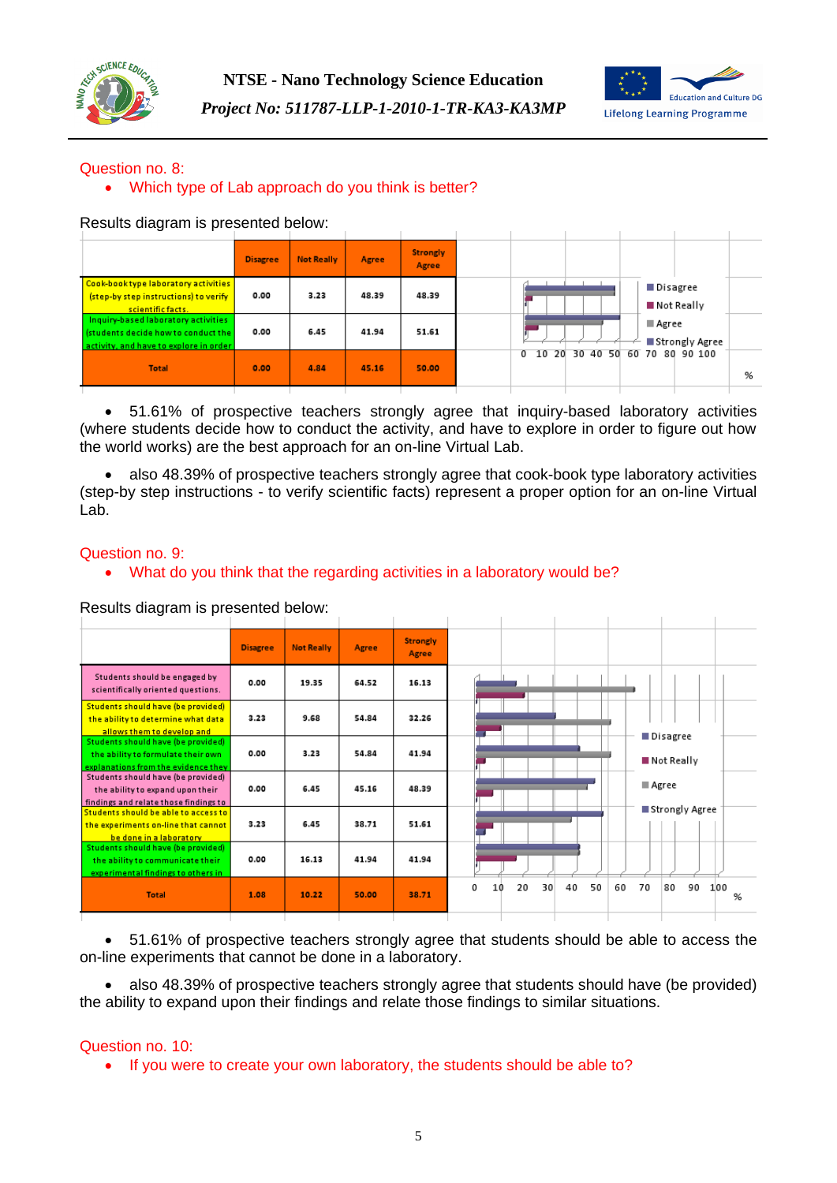



# Question no. 8:

# Which type of Lab approach do you think is better?

Results diagram is presented below:

| <b>INCOURS GRAGIERITIS PRESCHIEG DEIUW.</b>                                                                          |          |                   |       |                          |                                          |
|----------------------------------------------------------------------------------------------------------------------|----------|-------------------|-------|--------------------------|------------------------------------------|
|                                                                                                                      | Disagree | <b>Not Really</b> | Agree | <b>Strongly</b><br>Agree |                                          |
| Cook-book type laboratory activities<br>(step-by step instructions) to verify<br>scientific facts.                   | 0.00     | 3.23              | 48.39 | 48.39                    | ■ Disagree<br>$\blacksquare$ Not Really  |
| Inquiry-based laboratory activities<br>(students decide how to conduct the<br>activity, and have to explore in order | 0.00     | 6.45              | 41.94 | 51.61                    | Agree<br>■ Strongly Agree                |
| <b>Total</b>                                                                                                         | 0.00     | 4.84              | 45.16 | 50.00                    | 10 20 30 40 50 60 70 80 90 100<br>0<br>% |
|                                                                                                                      |          |                   |       |                          |                                          |

 51.61% of prospective teachers strongly agree that inquiry-based laboratory activities (where students decide how to conduct the activity, and have to explore in order to figure out how the world works) are the best approach for an on-line Virtual Lab.

 also 48.39% of prospective teachers strongly agree that cook-book type laboratory activities (step-by step instructions - to verify scientific facts) represent a proper option for an on-line Virtual Lab.

### Question no. 9:

What do you think that the regarding activities in a laboratory would be?

Results diagram is presented below:

| <u>Results diagram is presented below.</u>                                                                      |                 |                   |       |                          |                                       |                       |
|-----------------------------------------------------------------------------------------------------------------|-----------------|-------------------|-------|--------------------------|---------------------------------------|-----------------------|
|                                                                                                                 | <b>Disagree</b> | <b>Not Really</b> | Agree | <b>Strongly</b><br>Agree |                                       |                       |
| Students should be engaged by<br>scientifically oriented questions.                                             | 0.00            | 19.35             | 64.52 | 16.13                    |                                       |                       |
| Students should have (be provided)<br>the ability to determine what data<br>allows them to develop and          | 3.23            | 9.68              | 54.84 | 32.26                    |                                       | ■ Disagree            |
| Students should have (be provided)<br>the ability to formulate their own<br>explanations from the evidence they | 0.00            | 3.23              | 54.84 | 41.94                    |                                       | ■ Not Really          |
| Students should have (be provided)<br>the ability to expand upon their<br>findings and relate those findings to | 0.00            | 6.45              | 45.16 | 48.39                    |                                       | ■ Agree               |
| Students should be able to access to<br>the experiments on-line that cannot<br>be done in a laboratory          | 3.23            | 6.45              | 38.71 | 51.61                    |                                       | ■ Strongly Agree      |
| Students should have (be provided)<br>the ability to communicate their<br>experimental findings to others in    | 0.00            | 16.13             | 41.94 | 41.94                    |                                       |                       |
| <b>Total</b>                                                                                                    | 1.08            | 10.22             | 50.00 | 38.71                    | 50<br>0<br>20<br>30<br>40<br>60<br>10 | 90<br>70<br>80<br>100 |

 51.61% of prospective teachers strongly agree that students should be able to access the on-line experiments that cannot be done in a laboratory.

 also 48.39% of prospective teachers strongly agree that students should have (be provided) the ability to expand upon their findings and relate those findings to similar situations.

### Question no. 10:

• If you were to create your own laboratory, the students should be able to?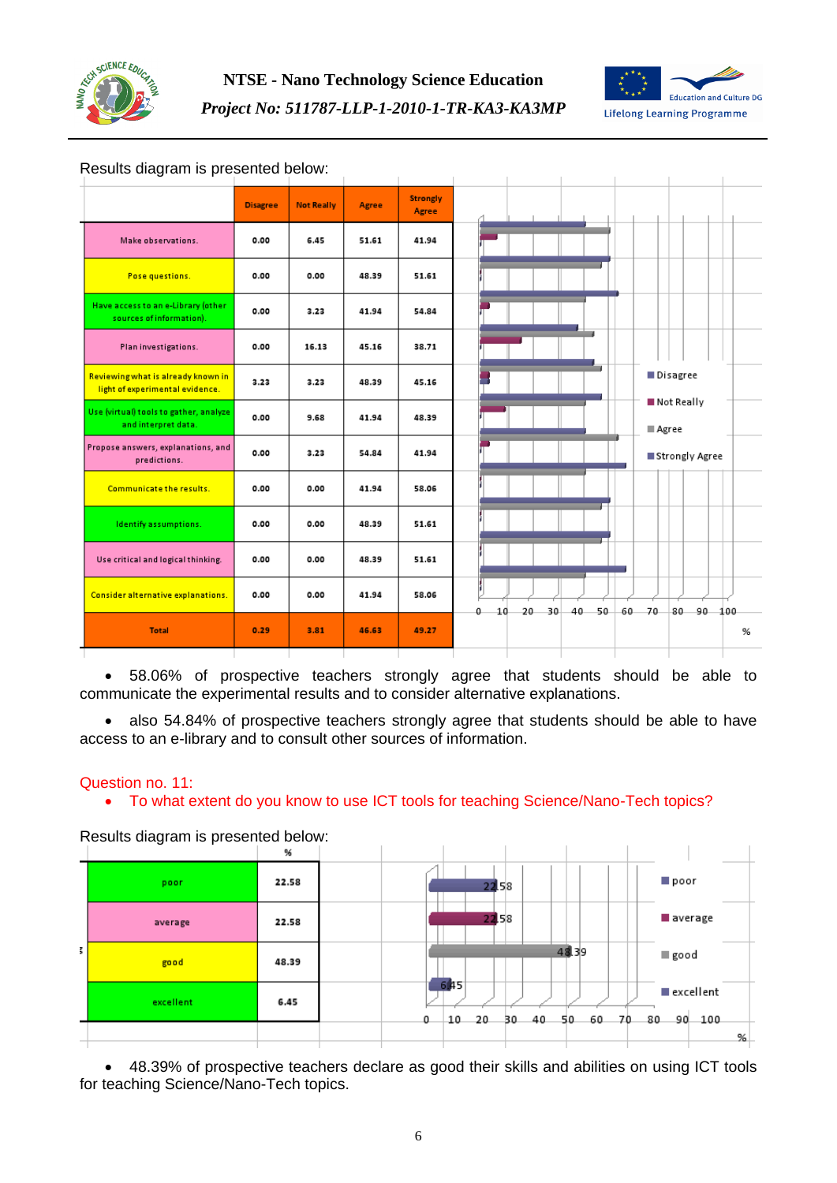



### Results diagram is presented below:

|                                                                       | <b>Disagree</b> | <b>Not Really</b> | Agree | <b>Strongly</b><br>Agree |                                                           |
|-----------------------------------------------------------------------|-----------------|-------------------|-------|--------------------------|-----------------------------------------------------------|
| Make observations.                                                    | 0.00            | 6.45              | 51.61 | 41.94                    |                                                           |
| Pose questions.                                                       | 0.00            | 0.00              | 48.39 | 51.61                    |                                                           |
| Have access to an e-Library (other<br>sources of information).        | 0.00            | 3.23              | 41.94 | 54.84                    |                                                           |
| Plan investigations.                                                  | 0.00            | 16.13             | 45.16 | 38.71                    |                                                           |
| Reviewing what is already known in<br>light of experimental evidence. | 3.23            | 3.23              | 48.39 | 45.16                    | Disagree                                                  |
| Use (virtual) tools to gather, analyze<br>and interpret data.         | 0.00            | 9.68              | 41.94 | 48.39                    | Not Really<br>Agree                                       |
| Propose answers, explanations, and<br>predictions.                    | 0.00            | 3.23              | 54.84 | 41.94                    | ■ Strongly Agree                                          |
| Communicate the results.                                              | 0.00            | 0.00              | 41.94 | 58.06                    |                                                           |
| Identify assumptions.                                                 | 0.00            | 0.00              | 48.39 | 51.61                    |                                                           |
| Use critical and logical thinking.                                    | 0.00            | 0.00              | 48.39 | 51.61                    |                                                           |
| <b>Consider alternative explanations.</b>                             | 0.00            | 0.00              | 41.94 | 58.06                    | 30<br>40<br>$50 -$<br>60 70<br>80 90 100<br>10<br>20<br>Ω |
| <b>Total</b>                                                          | 0.29            | 3.81              | 46.63 | 49.27                    |                                                           |

 $\overline{1}$ 

 $\overline{1}$ 

 $\overline{1}$ 

 58.06% of prospective teachers strongly agree that students should be able to communicate the experimental results and to consider alternative explanations.

• also 54.84% of prospective teachers strongly agree that students should be able to have access to an e-library and to consult other sources of information.

### Question no. 11:

To what extent do you know to use ICT tools for teaching Science/Nano-Tech topics?

Results diagram is presented below:

|    |           | %     |                                                                                   |
|----|-----------|-------|-----------------------------------------------------------------------------------|
|    | poor      | 22.58 | ll poor<br>22.58                                                                  |
|    | average   | 22.58 | 22.58<br>average                                                                  |
| š. | good      | 48.39 | 48.39<br>good                                                                     |
|    | excellent | 6.45  | 645<br>excellent<br>0<br>20<br>60<br>90<br>10<br>30 40<br>- 70<br>80<br>50<br>100 |
|    |           |       | %                                                                                 |

 48.39% of prospective teachers declare as good their skills and abilities on using ICT tools for teaching Science/Nano-Tech topics.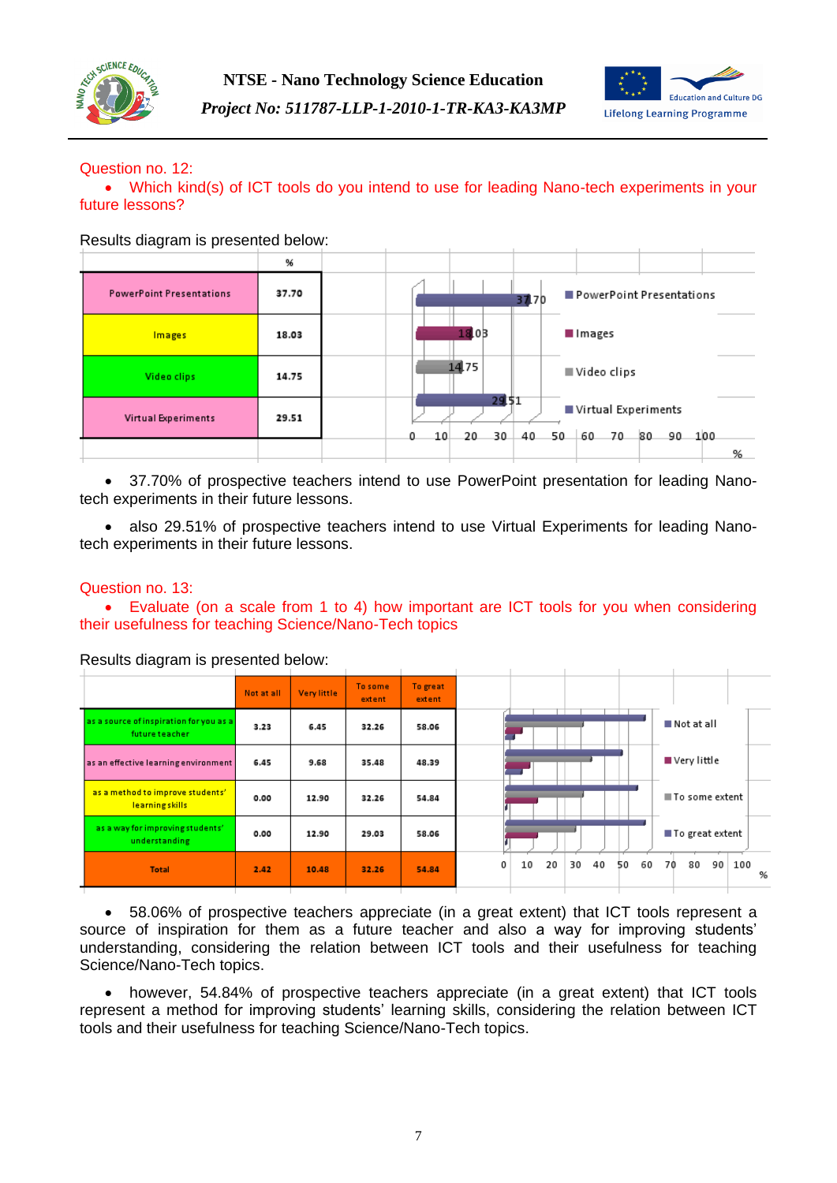



### Question no. 12:

 Which kind(s) of ICT tools do you intend to use for leading Nano-tech experiments in your future lessons?

Results diagram is presented below:

|                                 | %     |         |                   |          |                                 |               |   |
|---------------------------------|-------|---------|-------------------|----------|---------------------------------|---------------|---|
| <b>PowerPoint Presentations</b> | 37.70 |         |                   | 37.70    | PowerPoint Presentations        |               |   |
| Images                          | 18.03 |         | 18.03             |          | Images                          |               |   |
| Video clips                     | 14.75 |         | 14.75             |          | ■ Video clips                   |               |   |
| <b>Virtual Experiments</b>      | 29.51 | 10<br>0 | 29.51<br>30<br>20 | 40<br>50 | Virtual Experiments<br>60<br>70 | -80<br>90 100 |   |
|                                 |       |         |                   |          |                                 |               | % |

 37.70% of prospective teachers intend to use PowerPoint presentation for leading Nanotech experiments in their future lessons.

 also 29.51% of prospective teachers intend to use Virtual Experiments for leading Nanotech experiments in their future lessons.

### Question no. 13:

 Evaluate (on a scale from 1 to 4) how important are ICT tools for you when considering their usefulness for teaching Science/Nano-Tech topics

|                                                           | Not at all | Very little | To some<br>extent | To great<br>extent |
|-----------------------------------------------------------|------------|-------------|-------------------|--------------------|
| as a source of inspiration for you as a<br>future teacher | 3.23       | 6.45        | 32.26             | 58.06              |
| as an effective learning environment                      | 6.45       | 9.68        | 35.48             | 48.39              |
| as a method to improve students'<br>learningskills        | 0.00       | 12.90       | 32.26             | 54.84              |
| as a way for improving students'<br>understanding         | 0.00       | 12.90       | 29.03             | 58.06              |
| <b>Total</b>                                              | 2.42       | 10.48       | 32.26             | 54.84              |

Results diagram is presented below:

 58.06% of prospective teachers appreciate (in a great extent) that ICT tools represent a source of inspiration for them as a future teacher and also a way for improving students' understanding, considering the relation between ICT tools and their usefulness for teaching Science/Nano-Tech topics.

 however, 54.84% of prospective teachers appreciate (in a great extent) that ICT tools represent a method for improving students' learning skills, considering the relation between ICT tools and their usefulness for teaching Science/Nano-Tech topics.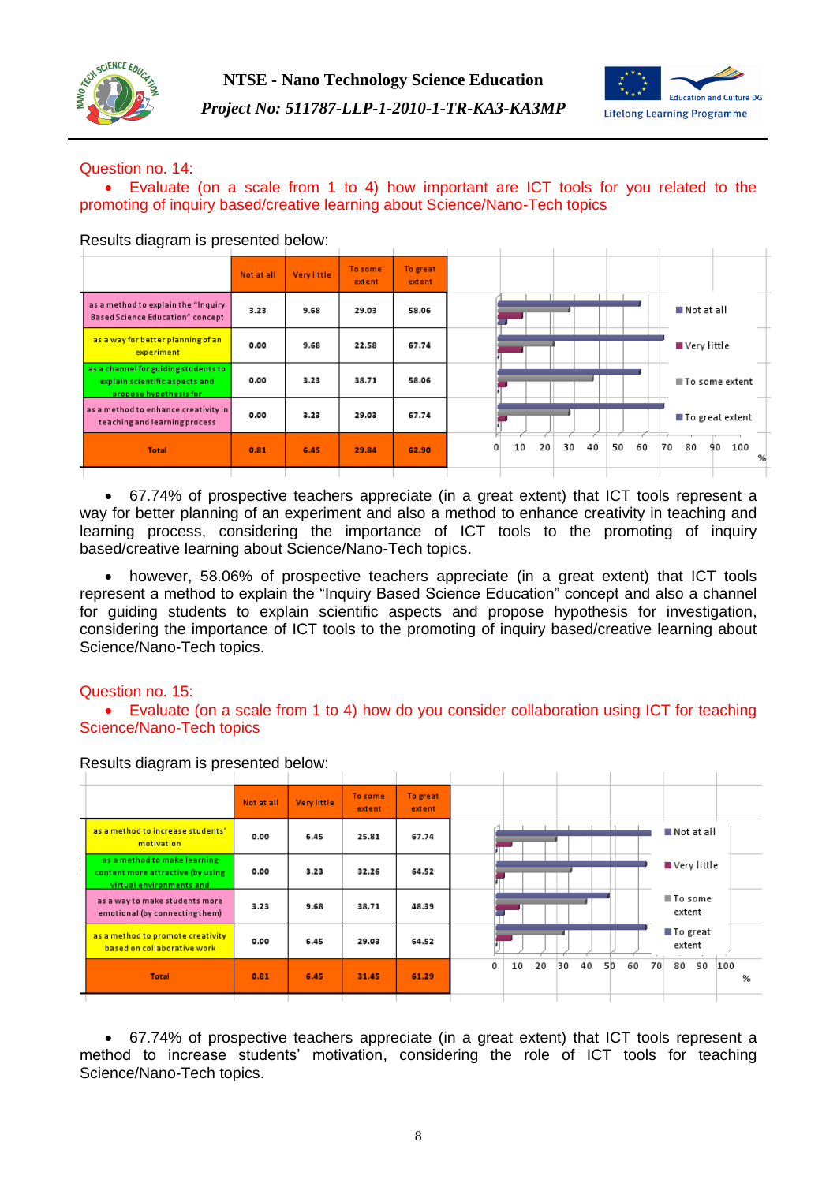



### Question no. 14:

 Evaluate (on a scale from 1 to 4) how important are ICT tools for you related to the promoting of inquiry based/creative learning about Science/Nano-Tech topics

| ັ<br>. .                                                                                         |            |             |                   |                    |   |    |                 |    |    |    |    |  |          |                   |
|--------------------------------------------------------------------------------------------------|------------|-------------|-------------------|--------------------|---|----|-----------------|----|----|----|----|--|----------|-------------------|
|                                                                                                  | Not at all | Very little | To some<br>extent | To great<br>extent |   |    |                 |    |    |    |    |  |          |                   |
| as a method to explain the "Inquiry<br><b>Based Science Education" concept</b>                   | 3.23       | 9.68        | 29.03             | 58.06              |   |    |                 |    |    |    |    |  |          | Not at all        |
| as a way for better planning of an<br>experiment                                                 | 0.00       | 9.68        | 22.58             | 67.74              |   |    |                 |    |    |    |    |  |          | ■ Very little     |
| as a channel for guiding students to<br>explain scientific aspects and<br>propose hypothesis for | 0.00       | 3.23        | 38.71             | 58.06              |   |    |                 |    |    |    |    |  |          | ■ To some extent  |
| as a method to enhance creativity in<br>teaching and learning process                            | 0.00       | 3.23        | 29.03             | 67.74              |   |    |                 |    |    |    |    |  |          | ■ To great extent |
| <b>Total</b>                                                                                     | 0.81       | 6.45        | 29.84             | 62.90              | 0 | 10 | 20 <sup>1</sup> | 30 | 40 | 50 | 60 |  | 70<br>80 | 100<br>90         |
|                                                                                                  |            |             |                   |                    |   |    |                 |    |    |    |    |  |          |                   |

Results diagram is presented below:

 67.74% of prospective teachers appreciate (in a great extent) that ICT tools represent a way for better planning of an experiment and also a method to enhance creativity in teaching and learning process, considering the importance of ICT tools to the promoting of inquiry based/creative learning about Science/Nano-Tech topics.

 however, 58.06% of prospective teachers appreciate (in a great extent) that ICT tools represent a method to explain the "Inquiry Based Science Education" concept and also a channel for guiding students to explain scientific aspects and propose hypothesis for investigation, considering the importance of ICT tools to the promoting of inquiry based/creative learning about Science/Nano-Tech topics.

### Question no. 15:

 Evaluate (on a scale from 1 to 4) how do you consider collaboration using ICT for teaching Science/Nano-Tech topics

| <b>INCOUNTY SHOULD DECOUPED DURING</b>                                                        |            |             |                   |                    |
|-----------------------------------------------------------------------------------------------|------------|-------------|-------------------|--------------------|
|                                                                                               | Not at all | Very little | To some<br>extent | To great<br>extent |
| as a method to increase students'<br>motivation                                               | 0.00       | 6.45        | 25.81             | 67.74              |
| as a method to make learning<br>content more attractive (by using<br>virtual environments and | 0.00       | 3.23        | 32.26             | 64.52              |
| as a way to make students more<br>emotional (by connecting them)                              | 3.23       | 9.68        | 38.71             | 48.39              |
| as a method to promote creativity<br>based on collaborative work                              | 0.00       | 6.45        | 29.03             | 64.52              |
| <b>Total</b>                                                                                  | 0.81       | 6.45        | 31.45             | 61.29              |
|                                                                                               |            |             |                   |                    |

Results diagram is presented below:

 67.74% of prospective teachers appreciate (in a great extent) that ICT tools represent a method to increase students' motivation, considering the role of ICT tools for teaching Science/Nano-Tech topics.